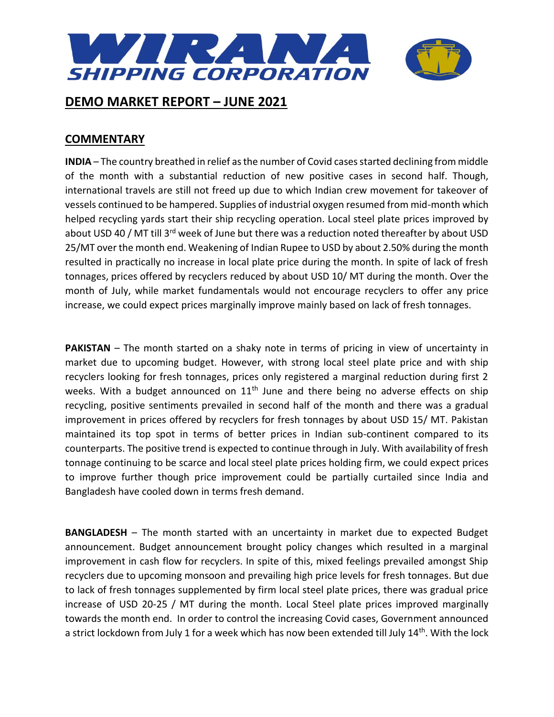

## **COMMENTARY**

**INDIA** – The country breathed in relief as the number of Covid cases started declining from middle of the month with a substantial reduction of new positive cases in second half. Though, international travels are still not freed up due to which Indian crew movement for takeover of vessels continued to be hampered. Supplies of industrial oxygen resumed from mid-month which helped recycling yards start their ship recycling operation. Local steel plate prices improved by about USD 40 / MT till 3<sup>rd</sup> week of June but there was a reduction noted thereafter by about USD 25/MT over the month end. Weakening of Indian Rupee to USD by about 2.50% during the month resulted in practically no increase in local plate price during the month. In spite of lack of fresh tonnages, prices offered by recyclers reduced by about USD 10/ MT during the month. Over the month of July, while market fundamentals would not encourage recyclers to offer any price increase, we could expect prices marginally improve mainly based on lack of fresh tonnages.

**PAKISTAN** – The month started on a shaky note in terms of pricing in view of uncertainty in market due to upcoming budget. However, with strong local steel plate price and with ship recyclers looking for fresh tonnages, prices only registered a marginal reduction during first 2 weeks. With a budget announced on  $11<sup>th</sup>$  June and there being no adverse effects on ship recycling, positive sentiments prevailed in second half of the month and there was a gradual improvement in prices offered by recyclers for fresh tonnages by about USD 15/ MT. Pakistan maintained its top spot in terms of better prices in Indian sub-continent compared to its counterparts. The positive trend is expected to continue through in July. With availability of fresh tonnage continuing to be scarce and local steel plate prices holding firm, we could expect prices to improve further though price improvement could be partially curtailed since India and Bangladesh have cooled down in terms fresh demand.

**BANGLADESH** – The month started with an uncertainty in market due to expected Budget announcement. Budget announcement brought policy changes which resulted in a marginal improvement in cash flow for recyclers. In spite of this, mixed feelings prevailed amongst Ship recyclers due to upcoming monsoon and prevailing high price levels for fresh tonnages. But due to lack of fresh tonnages supplemented by firm local steel plate prices, there was gradual price increase of USD 20-25 / MT during the month. Local Steel plate prices improved marginally towards the month end. In order to control the increasing Covid cases, Government announced a strict lockdown from July 1 for a week which has now been extended till July 14<sup>th</sup>. With the lock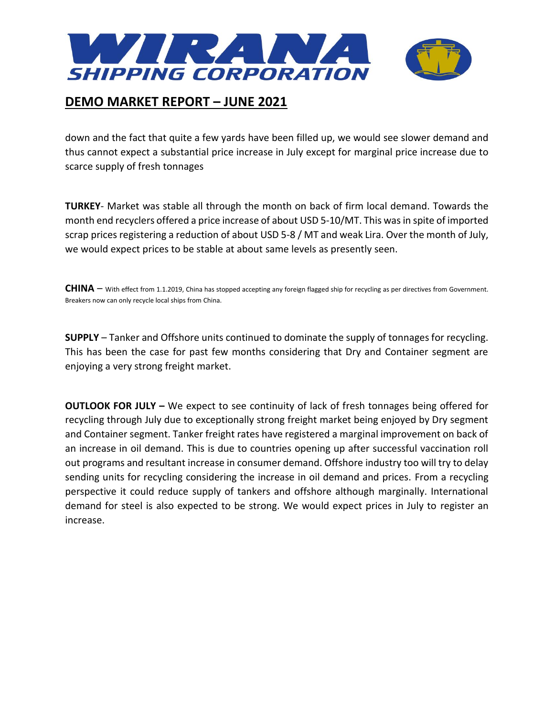

down and the fact that quite a few yards have been filled up, we would see slower demand and thus cannot expect a substantial price increase in July except for marginal price increase due to scarce supply of fresh tonnages

**TURKEY**- Market was stable all through the month on back of firm local demand. Towards the month end recyclers offered a price increase of about USD 5-10/MT. This was in spite of imported scrap prices registering a reduction of about USD 5-8 / MT and weak Lira. Over the month of July, we would expect prices to be stable at about same levels as presently seen.

**CHINA** – With effect from 1.1.2019, China has stopped accepting any foreign flagged ship for recycling as per directives from Government. Breakers now can only recycle local ships from China.

**SUPPLY** – Tanker and Offshore units continued to dominate the supply of tonnages for recycling. This has been the case for past few months considering that Dry and Container segment are enjoying a very strong freight market.

**OUTLOOK FOR JULY –** We expect to see continuity of lack of fresh tonnages being offered for recycling through July due to exceptionally strong freight market being enjoyed by Dry segment and Container segment. Tanker freight rates have registered a marginal improvement on back of an increase in oil demand. This is due to countries opening up after successful vaccination roll out programs and resultant increase in consumer demand. Offshore industry too will try to delay sending units for recycling considering the increase in oil demand and prices. From a recycling perspective it could reduce supply of tankers and offshore although marginally. International demand for steel is also expected to be strong. We would expect prices in July to register an increase.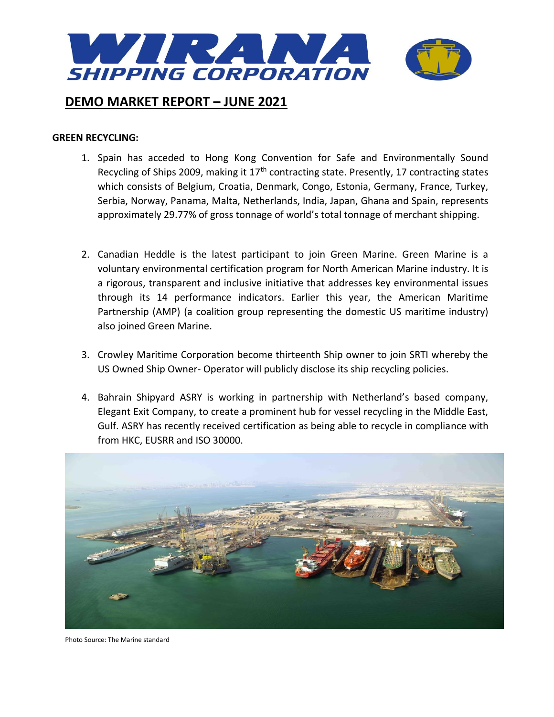

#### **GREEN RECYCLING:**

- 1. Spain has acceded to Hong Kong Convention for Safe and Environmentally Sound Recycling of Ships 2009, making it  $17<sup>th</sup>$  contracting state. Presently, 17 contracting states which consists of Belgium, Croatia, Denmark, Congo, Estonia, Germany, France, Turkey, Serbia, Norway, Panama, Malta, Netherlands, India, Japan, Ghana and Spain, represents approximately 29.77% of gross tonnage of world's total tonnage of merchant shipping.
- 2. Canadian Heddle is the latest participant to join Green Marine. Green Marine is a voluntary environmental certification program for North American Marine industry. It is a rigorous, transparent and inclusive initiative that addresses key environmental issues through its 14 performance indicators. Earlier this year, the American Maritime Partnership (AMP) (a coalition group representing the domestic US maritime industry) also joined Green Marine.
- 3. Crowley Maritime Corporation become thirteenth Ship owner to join SRTI whereby the US Owned Ship Owner- Operator will publicly disclose its ship recycling policies.
- 4. Bahrain Shipyard ASRY is working in partnership with Netherland's based company, Elegant Exit Company, to create a prominent hub for vessel recycling in the Middle East, Gulf. ASRY has recently received certification as being able to recycle in compliance with from HKC, EUSRR and ISO 30000.



Photo Source: The Marine standard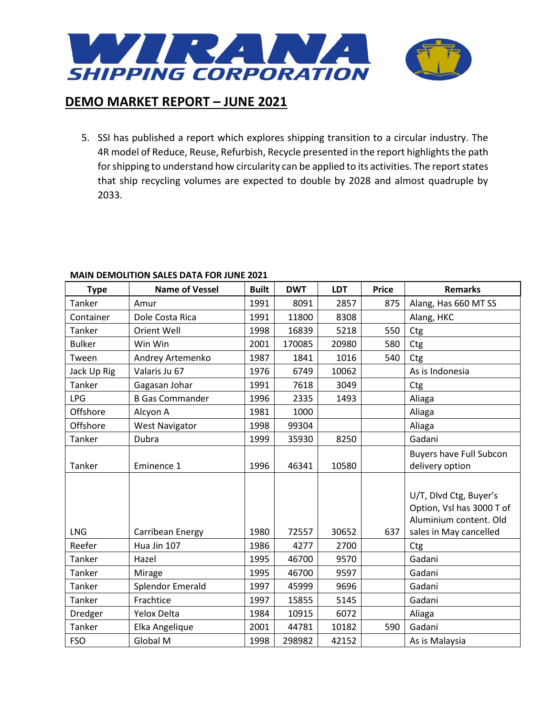

5. SSI has published a report which explores shipping transition to a circular industry. The 4R model of Reduce, Reuse, Refurbish, Recycle presented in the report highlights the path for shipping to understand how circularity can be applied to its activities. The report states that ship recycling volumes are expected to double by 2028 and almost quadruple by 2033.

| <b>Type</b>   | <b>Name of Vessel</b>  | <b>Built</b> | <b>DWT</b> | <b>LDT</b> | <b>Price</b> | <b>Remarks</b>                                                                |
|---------------|------------------------|--------------|------------|------------|--------------|-------------------------------------------------------------------------------|
| Tanker        | Amur                   | 1991         | 8091       | 2857       | 875          | Alang, Has 660 MT SS                                                          |
| Container     | Dole Costa Rica        | 1991         | 11800      | 8308       |              | Alang, HKC                                                                    |
| Tanker        | Orient Well            | 1998         | 16839      | 5218       | 550          | Ctg                                                                           |
| <b>Bulker</b> | Win Win                | 2001         | 170085     | 20980      | 580          | Ctg                                                                           |
| Tween         | Andrey Artemenko       | 1987         | 1841       | 1016       | 540          | Ctg                                                                           |
| Jack Up Rig   | Valaris Ju 67          | 1976         | 6749       | 10062      |              | As is Indonesia                                                               |
| Tanker        | Gagasan Johar          | 1991         | 7618       | 3049       |              | Ctg                                                                           |
| <b>LPG</b>    | <b>B Gas Commander</b> | 1996         | 2335       | 1493       |              | Aliaga                                                                        |
| Offshore      | Alcyon A               | 1981         | 1000       |            |              | Aliaga                                                                        |
| Offshore      | <b>West Navigator</b>  | 1998         | 99304      |            |              | Aliaga                                                                        |
| Tanker        | Dubra                  | 1999         | 35930      | 8250       |              | Gadani                                                                        |
|               |                        |              |            |            |              | <b>Buyers have Full Subcon</b>                                                |
| Tanker        | Eminence 1             | 1996         | 46341      | 10580      |              | delivery option                                                               |
|               |                        |              |            |            |              | U/T, Dlvd Ctg, Buyer's<br>Option, Vsl has 3000 T of<br>Aluminium content. Old |
| <b>LNG</b>    | Carribean Energy       | 1980         | 72557      | 30652      | 637          | sales in May cancelled                                                        |
| Reefer        | Hua Jin 107            | 1986         | 4277       | 2700       |              | Ctg                                                                           |
| Tanker        | Hazel                  | 1995         | 46700      | 9570       |              | Gadani                                                                        |
| Tanker        | Mirage                 | 1995         | 46700      | 9597       |              | Gadani                                                                        |
| Tanker        | Splendor Emerald       | 1997         | 45999      | 9696       |              | Gadani                                                                        |
| Tanker        | Frachtice              | 1997         | 15855      | 5145       |              | Gadani                                                                        |
| Dredger       | Yelox Delta            | 1984         | 10915      | 6072       |              | Aliaga                                                                        |
| Tanker        | Elka Angelique         | 2001         | 44781      | 10182      | 590          | Gadani                                                                        |
| <b>FSO</b>    | Global M               | 1998         | 298982     | 42152      |              | As is Malaysia                                                                |

## **MAIN DEMOLITION SALES DATA FOR JUNE 2021**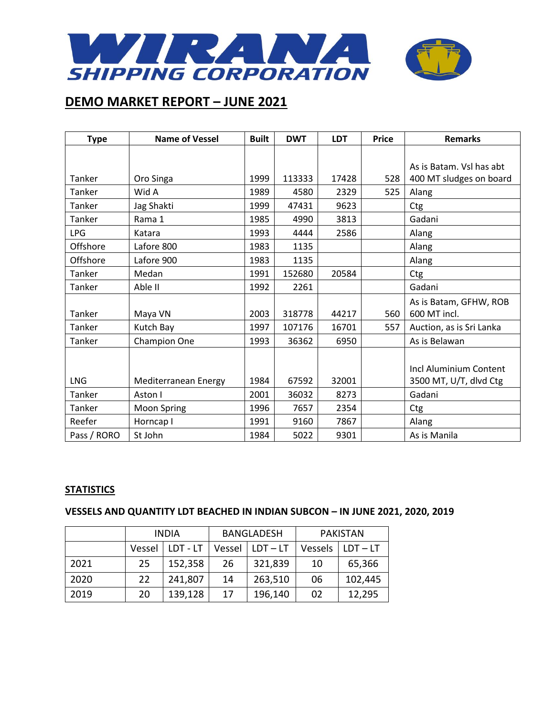

| <b>Type</b> | <b>Name of Vessel</b> | <b>Built</b> | <b>DWT</b> | <b>LDT</b> | <b>Price</b> | <b>Remarks</b>           |
|-------------|-----------------------|--------------|------------|------------|--------------|--------------------------|
|             |                       |              |            |            |              |                          |
|             |                       |              |            |            |              | As is Batam. Vsl has abt |
| Tanker      | Oro Singa             | 1999         | 113333     | 17428      | 528          | 400 MT sludges on board  |
| Tanker      | Wid A                 | 1989         | 4580       | 2329       | 525          | Alang                    |
| Tanker      | Jag Shakti            | 1999         | 47431      | 9623       |              | Ctg                      |
| Tanker      | Rama 1                | 1985         | 4990       | 3813       |              | Gadani                   |
| <b>LPG</b>  | Katara                | 1993         | 4444       | 2586       |              | Alang                    |
| Offshore    | Lafore 800            | 1983         | 1135       |            |              | Alang                    |
| Offshore    | Lafore 900            | 1983         | 1135       |            |              | Alang                    |
| Tanker      | Medan                 | 1991         | 152680     | 20584      |              | Ctg                      |
| Tanker      | Able II               | 1992         | 2261       |            |              | Gadani                   |
|             |                       |              |            |            |              | As is Batam, GFHW, ROB   |
| Tanker      | Maya VN               | 2003         | 318778     | 44217      | 560          | 600 MT incl.             |
| Tanker      | Kutch Bay             | 1997         | 107176     | 16701      | 557          | Auction, as is Sri Lanka |
| Tanker      | <b>Champion One</b>   | 1993         | 36362      | 6950       |              | As is Belawan            |
|             |                       |              |            |            |              |                          |
|             |                       |              |            |            |              | Incl Aluminium Content   |
| <b>LNG</b>  | Mediterranean Energy  | 1984         | 67592      | 32001      |              | 3500 MT, U/T, dlvd Ctg   |
| Tanker      | Aston I               | 2001         | 36032      | 8273       |              | Gadani                   |
| Tanker      | Moon Spring           | 1996         | 7657       | 2354       |              | Ctg                      |
| Reefer      | Horncap I             | 1991         | 9160       | 7867       |              | Alang                    |
| Pass / RORO | St John               | 1984         | 5022       | 9301       |              | As is Manila             |

## **STATISTICS**

## **VESSELS AND QUANTITY LDT BEACHED IN INDIAN SUBCON – IN JUNE 2021, 2020, 2019**

|      | <b>INDIA</b> |          | <b>BANGLADESH</b> |            | <b>PAKISTAN</b> |            |
|------|--------------|----------|-------------------|------------|-----------------|------------|
|      | Vessel       | LDT - LT | Vessel            | $LDT - LT$ | Vessels         | $LDT - LT$ |
| 2021 | 25           | 152,358  | 26                | 321,839    | 10              | 65,366     |
| 2020 | 22           | 241,807  | 14                | 263,510    | 06              | 102,445    |
| 2019 | 20           | 139,128  | 17                | 196,140    | 02              | 12,295     |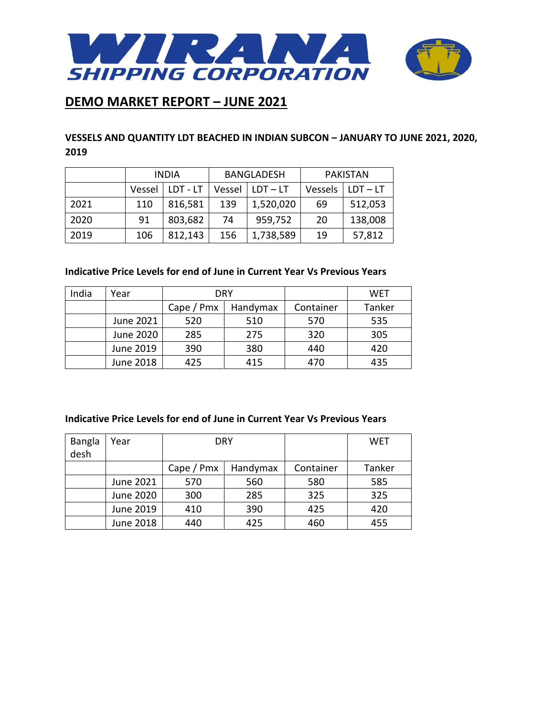

## **VESSELS AND QUANTITY LDT BEACHED IN INDIAN SUBCON – JANUARY TO JUNE 2021, 2020, 2019**

|      | <b>INDIA</b> |          | <b>BANGLADESH</b> |            | <b>PAKISTAN</b> |            |
|------|--------------|----------|-------------------|------------|-----------------|------------|
|      | Vessel       | LDT - LT | Vessel            | $LDT - LT$ | Vessels         | $LDT - LT$ |
| 2021 | 110          | 816,581  | 139               | 1,520,020  | 69              | 512,053    |
| 2020 | 91           | 803,682  | 74                | 959,752    | 20              | 138,008    |
| 2019 | 106          | 812,143  | 156               | 1,738,589  | 19              | 57,812     |

### **Indicative Price Levels for end of June in Current Year Vs Previous Years**

| India | Year      |            | <b>DRY</b> |           | WET    |
|-------|-----------|------------|------------|-----------|--------|
|       |           | Cape / Pmx | Handymax   | Container | Tanker |
|       | June 2021 | 520        | 510        | 570       | 535    |
|       | June 2020 | 285        | 275        | 320       | 305    |
|       | June 2019 | 390        | 380        | 440       | 420    |
|       | June 2018 | 425        | 415        | 470       | 435    |

#### **Indicative Price Levels for end of June in Current Year Vs Previous Years**

| Bangla | Year      | DRY             |          |           | <b>WET</b> |
|--------|-----------|-----------------|----------|-----------|------------|
| desh   |           |                 |          |           |            |
|        |           | Cape $/$ Pm $x$ | Handymax | Container | Tanker     |
|        | June 2021 | 570             | 560      | 580       | 585        |
|        | June 2020 | 300             | 285      | 325       | 325        |
|        | June 2019 | 410             | 390      | 425       | 420        |
|        | June 2018 | 440             | 425      | 460       | 455        |